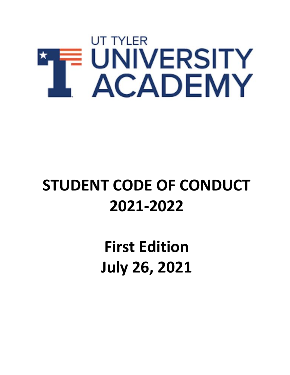

# **STUDENT CODE OF CONDUCT 2021-2022**

**First Edition July 26, 2021**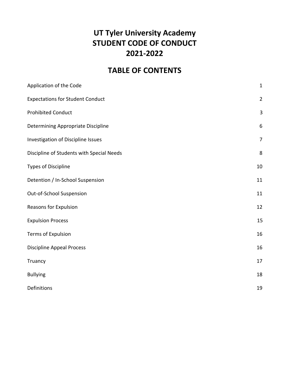# **UT Tyler University Academy STUDENT CODE OF CONDUCT 2021-2022**

# **TABLE OF CONTENTS**

| Application of the Code                   | $\mathbf{1}$   |
|-------------------------------------------|----------------|
| <b>Expectations for Student Conduct</b>   | $\overline{2}$ |
| <b>Prohibited Conduct</b>                 | $\mathbf{3}$   |
| Determining Appropriate Discipline        | 6              |
| Investigation of Discipline Issues        | $\overline{7}$ |
| Discipline of Students with Special Needs | 8              |
| <b>Types of Discipline</b>                | 10             |
| Detention / In-School Suspension          | 11             |
| Out-of-School Suspension                  | 11             |
| Reasons for Expulsion                     | 12             |
| <b>Expulsion Process</b>                  | 15             |
| <b>Terms of Expulsion</b>                 | 16             |
| <b>Discipline Appeal Process</b>          | 16             |
| Truancy                                   | 17             |
| <b>Bullying</b>                           | 18             |
| Definitions                               | 19             |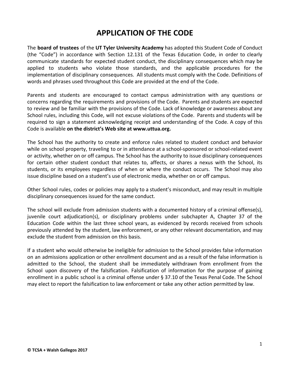## **APPLICATION OF THE CODE**

The **board of trustees** of the **UT Tyler University Academy** has adopted this Student Code of Conduct (the "Code") in accordance with Section 12.131 of the Texas Education Code, in order to clearly communicate standards for expected student conduct, the disciplinary consequences which may be applied to students who violate those standards, and the applicable procedures for the implementation of disciplinary consequences. All students must comply with the Code. Definitions of words and phrases used throughout this Code are provided at the end of the Code.

Parents and students are encouraged to contact campus administration with any questions or concerns regarding the requirements and provisions of the Code. Parents and students are expected to review and be familiar with the provisions of the Code. Lack of knowledge or awareness about any School rules, including this Code, will not excuse violations of the Code. Parents and students will be required to sign a statement acknowledging receipt and understanding of the Code. A copy of this Code is available **on the district's Web site at www.uttua.org.**

The School has the authority to create and enforce rules related to student conduct and behavior while on school property, traveling to or in attendance at a school-sponsored or school-related event or activity, whether on or off campus. The School has the authority to issue disciplinary consequences for certain other student conduct that relates to, affects, or shares a nexus with the School, its students, or its employees regardless of when or where the conduct occurs. The School may also issue discipline based on a student's use of electronic media, whether on or off campus.

Other School rules, codes or policies may apply to a student's misconduct, and may result in multiple disciplinary consequences issued for the same conduct.

The school will exclude from admission students with a documented history of a criminal offense(s), juvenile court adjudication(s), or disciplinary problems under subchapter A, Chapter 37 of the Education Code within the last three school years, as evidenced by records received from schools previously attended by the student, law enforcement, or any other relevant documentation, and may exclude the student from admission on this basis.

If a student who would otherwise be ineligible for admission to the School provides false information on an admissions application or other enrollment document and as a result of the false information is admitted to the School, the student shall be immediately withdrawn from enrollment from the School upon discovery of the falsification. Falsification of information for the purpose of gaining enrollment in a public school is a criminal offense under § 37.10 of the Texas Penal Code. The School may elect to report the falsification to law enforcement or take any other action permitted by law.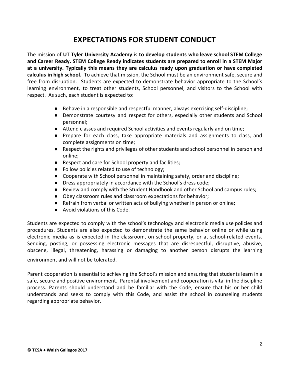# **EXPECTATIONS FOR STUDENT CONDUCT**

The mission of **UT Tyler University Academy** is **to develop students who leave school STEM College and Career Ready. STEM College Ready indicates students are prepared to enroll in a STEM Major at a university. Typically this means they are calculus ready upon graduation or have completed calculus in high school.** To achieve that mission, the School must be an environment safe, secure and free from disruption. Students are expected to demonstrate behavior appropriate to the School's learning environment, to treat other students, School personnel, and visitors to the School with respect. As such, each student is expected to:

- Behave in a responsible and respectful manner, always exercising self-discipline;
- Demonstrate courtesy and respect for others, especially other students and School personnel;
- Attend classes and required School activities and events regularly and on time;
- Prepare for each class, take appropriate materials and assignments to class, and complete assignments on time;
- Respect the rights and privileges of other students and school personnel in person and online;
- Respect and care for School property and facilities;
- Follow policies related to use of technology;
- Cooperate with School personnel in maintaining safety, order and discipline;
- Dress appropriately in accordance with the School's dress code;
- Review and comply with the Student Handbook and other School and campus rules;
- Obey classroom rules and classroom expectations for behavior;
- Refrain from verbal or written acts of bullying whether in person or online;
- Avoid violations of this Code.

Students are expected to comply with the school's technology and electronic media use policies and procedures. Students are also expected to demonstrate the same behavior online or while using electronic media as is expected in the classroom, on school property, or at school-related events. Sending, posting, or possessing electronic messages that are disrespectful, disruptive, abusive, obscene, illegal, threatening, harassing or damaging to another person disrupts the learning

environment and will not be tolerated.

Parent cooperation is essential to achieving the School's mission and ensuring that students learn in a safe, secure and positive environment. Parental involvement and cooperation is vital in the discipline process. Parents should understand and be familiar with the Code, ensure that his or her child understands and seeks to comply with this Code, and assist the school in counseling students regarding appropriate behavior.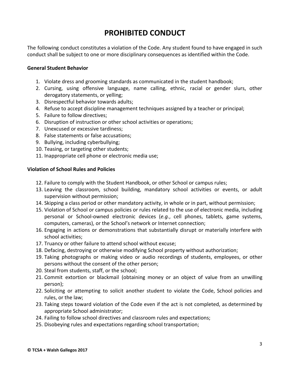# **PROHIBITED CONDUCT**

The following conduct constitutes a violation of the Code. Any student found to have engaged in such conduct shall be subject to one or more disciplinary consequences as identified within the Code.

#### **General Student Behavior**

- 1. Violate dress and grooming standards as communicated in the student handbook;
- 2. Cursing, using offensive language, name calling, ethnic, racial or gender slurs, other derogatory statements, or yelling;
- 3. Disrespectful behavior towards adults;
- 4. Refuse to accept discipline management techniques assigned by a teacher or principal;
- 5. Failure to follow directives;
- 6. Disruption of instruction or other school activities or operations;
- 7. Unexcused or excessive tardiness;
- 8. False statements or false accusations;
- 9. Bullying, including cyberbullying;
- 10. Teasing, or targeting other students;
- 11. Inappropriate cell phone or electronic media use;

#### **Violation of School Rules and Policies**

- 12. Failure to comply with the Student Handbook, or other School or campus rules;
- 13. Leaving the classroom, school building, mandatory school activities or events, or adult supervision without permission;
- 14. Skipping a class period or other mandatory activity, in whole or in part, without permission;
- 15. Violation of School or campus policies or rules related to the use of electronic media, including personal or School-owned electronic devices (*e.g.*, cell phones, tablets, game systems, computers, cameras), or the School's network or Internet connection;
- 16. Engaging in actions or demonstrations that substantially disrupt or materially interfere with school activities;
- 17. Truancy or other failure to attend school without excuse;
- 18. Defacing, destroying or otherwise modifying School property without authorization;
- 19. Taking photographs or making video or audio recordings of students, employees, or other persons without the consent of the other person;
- 20. Steal from students, staff, or the school;
- 21. Commit extortion or blackmail (obtaining money or an object of value from an unwilling person);
- 22. Soliciting or attempting to solicit another student to violate the Code, School policies and rules, or the law;
- 23. Taking steps toward violation of the Code even if the act is not completed, as determined by appropriate School administrator;
- 24. Failing to follow school directives and classroom rules and expectations;
- 25. Disobeying rules and expectations regarding school transportation;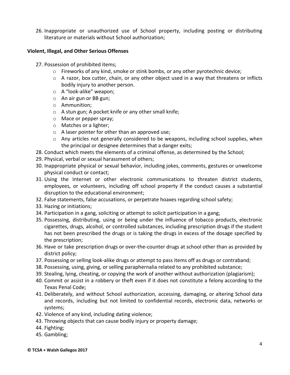26. Inappropriate or unauthorized use of School property, including posting or distributing literature or materials without School authorization;

#### **Violent, Illegal, and Other Serious Offenses**

- 27. Possession of prohibited items;
	- o Fireworks of any kind, smoke or stink bombs, or any other pyrotechnic device;
	- o A razor, box cutter, chain, or any other object used in a way that threatens or inflicts bodily injury to another person.
	- o A "look-alike" weapon;
	- o An air gun or BB gun;
	- o Ammunition;
	- o A stun gun; A pocket knife or any other small knife;
	- o Mace or pepper spray;
	- o Matches or a lighter;
	- o A laser pointer for other than an approved use;
	- $\circ$  Any articles not generally considered to be weapons, including school supplies, when the principal or designee determines that a danger exits;
- 28. Conduct which meets the elements of a criminal offense, as determined by the School;
- 29. Physical, verbal or sexual harassment of others;
- 30. Inappropriate physical or sexual behavior, including jokes, comments, gestures or unwelcome physical conduct or contact;
- 31. Using the Internet or other electronic communications to threaten district students, employees, or volunteers, including off school property if the conduct causes a substantial disruption to the educational environment;
- 32. False statements, false accusations, or perpetrate hoaxes regarding school safety;
- 33. Hazing or initiations;
- 34. Participation in a gang, soliciting or attempt to solicit participation in a gang;
- 35. Possessing, distributing, using or being under the influence of tobacco products, electronic cigarettes, drugs, alcohol, or controlled substances, including prescription drugs if the student has not been prescribed the drugs or is taking the drugs in excess of the dosage specified by the prescription;
- 36. Have or take prescription drugs or over-the-counter drugs at school other than as provided by district policy;
- 37. Possessing or selling look-alike drugs or attempt to pass items off as drugs or contraband;
- 38. Possessing, using, giving, or selling paraphernalia related to any prohibited substance;
- 39. Stealing, lying, cheating, or copying the work of another without authorization (plagiarism);
- 40. Commit or assist in a robbery or theft even if it does not constitute a felony according to the Texas Penal Code;
- 41. Deliberately, and without School authorization, accessing, damaging, or altering School data and records, including but not limited to confidential records, electronic data, networks or systems;
- 42. Violence of any kind, including dating violence;
- 43. Throwing objects that can cause bodily injury or property damage;
- 44. Fighting;
- 45. Gambling;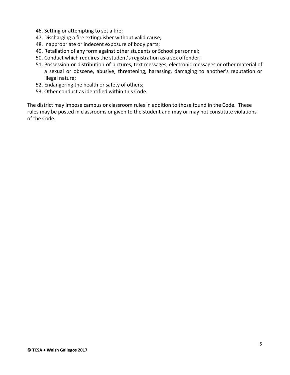- 46. Setting or attempting to set a fire;
- 47. Discharging a fire extinguisher without valid cause;
- 48. Inappropriate or indecent exposure of body parts;
- 49. Retaliation of any form against other students or School personnel;
- 50. Conduct which requires the student's registration as a sex offender;
- 51. Possession or distribution of pictures, text messages, electronic messages or other material of a sexual or obscene, abusive, threatening, harassing, damaging to another's reputation or illegal nature;
- 52. Endangering the health or safety of others;
- 53. Other conduct as identified within this Code.

The district may impose campus or classroom rules in addition to those found in the Code. These rules may be posted in classrooms or given to the student and may or may not constitute violations of the Code.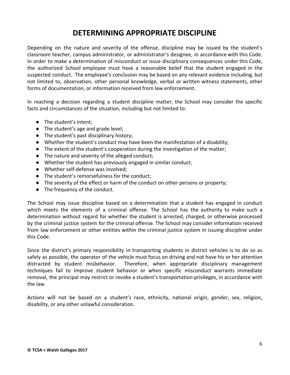# **DETERMINING APPROPRIATE DISCIPLINE**

Depending on the nature and severity of the offense, discipline may be issued by the student's classroom teacher, campus administrator, or administrator's designee, in accordance with this Code. In order to make a determination of misconduct or issue disciplinary consequences under this Code, the authorized School employee must have a reasonable belief that the student engaged in the suspected conduct. The employee's conclusion may be based on any relevant evidence including, but not limited to, observation, other personal knowledge, verbal or written witness statements, other forms of documentation, or information received from law enforcement.

In reaching a decision regarding a student discipline matter, the School may consider the specific facts and circumstances of the situation, including but not limited to:

- The student's intent;
- The student's age and grade level;
- The student's past disciplinary history;
- Whether the student's conduct may have been the manifestation of a disability;
- The extent of the student's cooperation during the investigation of the matter;
- The nature and severity of the alleged conduct;
- Whether the student has previously engaged in similar conduct;
- Whether self-defense was involved;
- The student's remorsefulness for the conduct;
- The severity of the effect or harm of the conduct on other persons or property;
- The frequency of the conduct.

The School may issue discipline based on a determination that a student has engaged in conduct which meets the elements of a criminal offense. The School has the authority to make such a determination without regard for whether the student is arrested, charged, or otherwise processed by the criminal justice system for the criminal offense. The School may consider information received from law enforcement or other entities within the criminal justice system in issuing discipline under this Code.

Since the district's primary responsibility in transporting students in district vehicles is to do so as safely as possible, the operator of the vehicle must focus on driving and not have his or her attention distracted by student misbehavior. Therefore, when appropriate disciplinary management techniques fail to improve student behavior or when specific misconduct warrants immediate removal, the principal may restrict or revoke a student's transportation privileges, in accordance with the law.

Actions will not be based on a student's race, ethnicity, national origin, gender, sex, religion, disability, or any other unlawful consideration.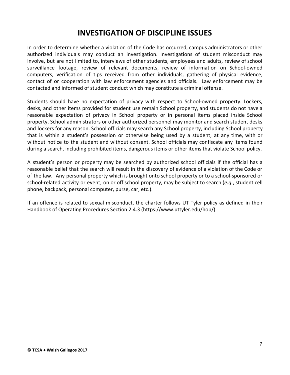## **INVESTIGATION OF DISCIPLINE ISSUES**

In order to determine whether a violation of the Code has occurred, campus administrators or other authorized individuals may conduct an investigation. Investigations of student misconduct may involve, but are not limited to, interviews of other students, employees and adults, review of school surveillance footage, review of relevant documents, review of information on School-owned computers, verification of tips received from other individuals, gathering of physical evidence, contact of or cooperation with law enforcement agencies and officials. Law enforcement may be contacted and informed of student conduct which may constitute a criminal offense.

Students should have no expectation of privacy with respect to School-owned property. Lockers, desks, and other items provided for student use remain School property, and students do not have a reasonable expectation of privacy in School property or in personal items placed inside School property. School administrators or other authorized personnel may monitor and search student desks and lockers for any reason. School officials may search any School property, including School property that is within a student's possession or otherwise being used by a student, at any time, with or without notice to the student and without consent. School officials may confiscate any items found during a search, including prohibited items, dangerous items or other items that violate School policy.

A student's person or property may be searched by authorized school officials if the official has a reasonable belief that the search will result in the discovery of evidence of a violation of the Code or of the law. Any personal property which is brought onto school property or to a school-sponsored or school-related activity or event, on or off school property, may be subject to search (*e.g.*, student cell phone, backpack, personal computer, purse, car, etc.).

If an offence is related to sexual misconduct, the charter follows UT Tyler policy as defined in their Handbook of Operating Procedures Section 2.4.3 (https://www.uttyler.edu/hop/).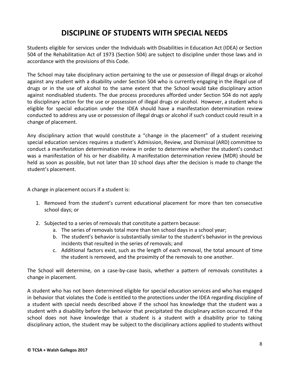# **DISCIPLINE OF STUDENTS WITH SPECIAL NEEDS**

Students eligible for services under the Individuals with Disabilities in Education Act (IDEA) or Section 504 of the Rehabilitation Act of 1973 (Section 504) are subject to discipline under those laws and in accordance with the provisions of this Code.

The School may take disciplinary action pertaining to the use or possession of illegal drugs or alcohol against any student with a disability under Section 504 who is currently engaging in the illegal use of drugs or in the use of alcohol to the same extent that the School would take disciplinary action against nondisabled students. The due process procedures afforded under Section 504 do not apply to disciplinary action for the use or possession of illegal drugs or alcohol. However, a student who is eligible for special education under the IDEA should have a manifestation determination review conducted to address any use or possession of illegal drugs or alcohol if such conduct could result in a change of placement.

Any disciplinary action that would constitute a "change in the placement" of a student receiving special education services requires a student's Admission, Review, and Dismissal (ARD) committee to conduct a manifestation determination review in order to determine whether the student's conduct was a manifestation of his or her disability. A manifestation determination review (MDR) should be held as soon as possible, but not later than 10 school days after the decision is made to change the student's placement.

A change in placement occurs if a student is:

- 1. Removed from the student's current educational placement for more than ten consecutive school days; or
- 2. Subjected to a series of removals that constitute a pattern because:
	- a. The series of removals total more than ten school days in a school year;
	- b. The student's behavior is substantially similar to the student's behavior in the previous incidents that resulted in the series of removals; and
	- c. Additional factors exist, such as the length of each removal, the total amount of time the student is removed, and the proximity of the removals to one another.

The School will determine, on a case-by-case basis, whether a pattern of removals constitutes a change in placement.

A student who has not been determined eligible for special education services and who has engaged in behavior that violates the Code is entitled to the protections under the IDEA regarding discipline of a student with special needs described above if the school has knowledge that the student was a student with a disability before the behavior that precipitated the disciplinary action occurred. If the school does not have knowledge that a student is a student with a disability prior to taking disciplinary action, the student may be subject to the disciplinary actions applied to students without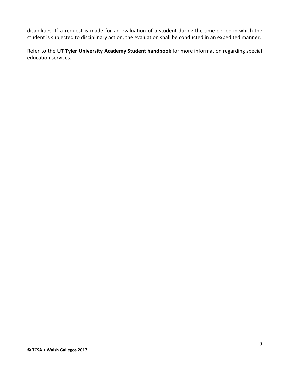disabilities. If a request is made for an evaluation of a student during the time period in which the student is subjected to disciplinary action, the evaluation shall be conducted in an expedited manner.

Refer to the **UT Tyler University Academy Student handbook** for more information regarding special education services.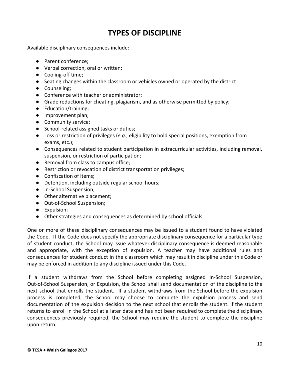# **TYPES OF DISCIPLINE**

Available disciplinary consequences include:

- Parent conference:
- Verbal correction, oral or written;
- Cooling-off time;
- Seating changes within the classroom or vehicles owned or operated by the district
- Counseling;
- Conference with teacher or administrator;
- Grade reductions for cheating, plagiarism, and as otherwise permitted by policy;
- Education/training;
- Improvement plan;
- Community service;
- School-related assigned tasks or duties;
- Loss or restriction of privileges (*e.g.*, eligibility to hold special positions, exemption from exams, etc.);
- Consequences related to student participation in extracurricular activities, including removal, suspension, or restriction of participation;
- Removal from class to campus office;
- Restriction or revocation of district transportation privileges;
- Confiscation of items;
- Detention, including outside regular school hours;
- In-School Suspension;
- Other alternative placement;
- Out-of-School Suspension;
- Expulsion;
- Other strategies and consequences as determined by school officials.

One or more of these disciplinary consequences may be issued to a student found to have violated the Code. If the Code does not specify the appropriate disciplinary consequence for a particular type of student conduct, the School may issue whatever disciplinary consequence is deemed reasonable and appropriate, with the exception of expulsion. A teacher may have additional rules and consequences for student conduct in the classroom which may result in discipline under this Code or may be enforced in addition to any discipline issued under this Code.

If a student withdraws from the School before completing assigned In-School Suspension, Out-of-School Suspension, or Expulsion, the School shall send documentation of the discipline to the next school that enrolls the student. If a student withdraws from the School before the expulsion process is completed, the School may choose to complete the expulsion process and send documentation of the expulsion decision to the next school that enrolls the student. If the student returns to enroll in the School at a later date and has not been required to complete the disciplinary consequences previously required, the School may require the student to complete the discipline upon return.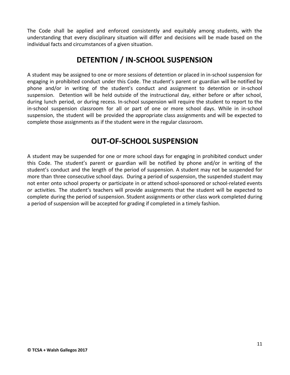The Code shall be applied and enforced consistently and equitably among students, with the understanding that every disciplinary situation will differ and decisions will be made based on the individual facts and circumstances of a given situation.

# **DETENTION / IN-SCHOOL SUSPENSION**

A student may be assigned to one or more sessions of detention or placed in in-school suspension for engaging in prohibited conduct under this Code. The student's parent or guardian will be notified by phone and/or in writing of the student's conduct and assignment to detention or in-school suspension. Detention will be held outside of the instructional day, either before or after school, during lunch period, or during recess. In-school suspension will require the student to report to the in-school suspension classroom for all or part of one or more school days. While in in-school suspension, the student will be provided the appropriate class assignments and will be expected to complete those assignments as if the student were in the regular classroom.

# **OUT-OF-SCHOOL SUSPENSION**

A student may be suspended for one or more school days for engaging in prohibited conduct under this Code. The student's parent or guardian will be notified by phone and/or in writing of the student's conduct and the length of the period of suspension. A student may not be suspended for more than three consecutive school days. During a period of suspension, the suspended student may not enter onto school property or participate in or attend school-sponsored or school-related events or activities. The student's teachers will provide assignments that the student will be expected to complete during the period of suspension. Student assignments or other class work completed during a period of suspension will be accepted for grading if completed in a timely fashion.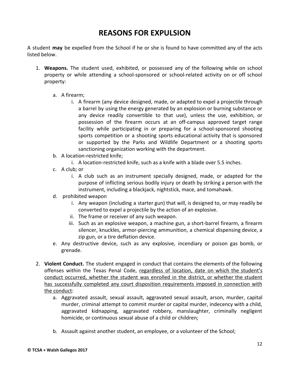# **REASONS FOR EXPULSION**

A student **may** be expelled from the School if he or she is found to have committed any of the acts listed below.

- 1. **Weapons.** The student used, exhibited, or possessed any of the following while on school property or while attending a school-sponsored or school-related activity on or off school property:
	- a. A firearm;
		- i. A firearm (any device designed, made, or adapted to expel a projectile through a barrel by using the energy generated by an explosion or burning substance or any device readily convertible to that use), unless the use, exhibition, or possession of the firearm occurs at an off-campus approved target range facility while participating in or preparing for a school-sponsored shooting sports competition or a shooting sports educational activity that is sponsored or supported by the Parks and Wildlife Department or a shooting sports sanctioning organization working with the department.
	- b. A location-restricted knife;
		- i. A location-restricted knife, such as a knife with a blade over 5.5 inches.
	- c. A club; or
		- i. A club such as an instrument specially designed, made, or adapted for the purpose of inflicting serious bodily injury or death by striking a person with the instrument, including a blackjack, nightstick, mace, and tomahawk.
	- d. prohibited weapon
		- i. Any weapon (including a starter gun) that will, is designed to, or may readily be converted to expel a projectile by the action of an explosive.
		- ii. The frame or receiver of any such weapon.
		- iii. Such as an explosive weapon, a machine gun, a short-barrel firearm, a firearm silencer, knuckles, armor-piercing ammunition, a chemical dispensing device, a zip gun, or a tire deflation device.
	- e. Any destructive device, such as any explosive, incendiary or poison gas bomb, or grenade.
- 2. **Violent Conduct.** The student engaged in conduct that contains the elements of the following offenses within the Texas Penal Code, regardless of location, date on which the student's conduct occurred, whether the student was enrolled in the district, or whether the student has successfully completed any court disposition requirements imposed in connection with the conduct:
	- a. Aggravated assault, sexual assault, aggravated sexual assault, arson, murder, capital murder, criminal attempt to commit murder or capital murder, indecency with a child, aggravated kidnapping, aggravated robbery, manslaughter, criminally negligent homicide, or continuous sexual abuse of a child or children;
	- b. Assault against another student, an employee, or a volunteer of the School;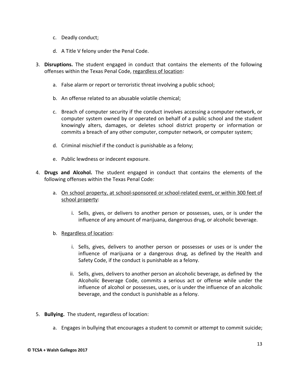- c. Deadly conduct;
- d. A Title V felony under the Penal Code.
- 3. **Disruptions.** The student engaged in conduct that contains the elements of the following offenses within the Texas Penal Code, regardless of location:
	- a. False alarm or report or terroristic threat involving a public school;
	- b. An offense related to an abusable volatile chemical;
	- c. Breach of computer security if the conduct involves accessing a computer network, or computer system owned by or operated on behalf of a public school and the student knowingly alters, damages, or deletes school district property or information or commits a breach of any other computer, computer network, or computer system;
	- d. Criminal mischief if the conduct is punishable as a felony;
	- e. Public lewdness or indecent exposure.
- 4. **Drugs and Alcohol.** The student engaged in conduct that contains the elements of the following offenses within the Texas Penal Code:
	- a. On school property, at school-sponsored or school-related event, or within 300 feet of school property:
		- i. Sells, gives, or delivers to another person or possesses, uses, or is under the influence of any amount of marijuana, dangerous drug, or alcoholic beverage.
	- b. Regardless of location:
		- i. Sells, gives, delivers to another person or possesses or uses or is under the influence of marijuana or a dangerous drug, as defined by the Health and Safety Code, if the conduct is punishable as a felony.
		- ii. Sells, gives, delivers to another person an alcoholic beverage, as defined by the Alcoholic Beverage Code, commits a serious act or offense while under the influence of alcohol or possesses, uses, or is under the influence of an alcoholic beverage, and the conduct is punishable as a felony.
- 5. **Bullying.** The student, regardless of location:
	- a. Engages in bullying that encourages a student to commit or attempt to commit suicide;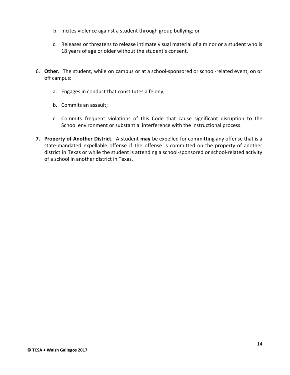- b. Incites violence against a student through group bullying; or
- c. Releases or threatens to release intimate visual material of a minor or a student who is 18 years of age or older without the student's consent.
- 6. **Other.** The student, while on campus or at a school-sponsored or school-related event, on or off campus:
	- a. Engages in conduct that constitutes a felony;
	- b. Commits an assault;
	- c. Commits frequent violations of this Code that cause significant disruption to the School environment or substantial interference with the instructional process.
- **7. Property of Another District.** A student **may** be expelled for committing any offense that is a state-mandated expellable offense if the offense is committed on the property of another district in Texas or while the student is attending a school-sponsored or school-related activity of a school in another district in Texas.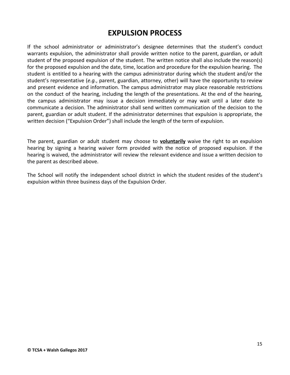## **EXPULSION PROCESS**

If the school administrator or administrator's designee determines that the student's conduct warrants expulsion, the administrator shall provide written notice to the parent, guardian, or adult student of the proposed expulsion of the student. The written notice shall also include the reason(s) for the proposed expulsion and the date, time, location and procedure for the expulsion hearing. The student is entitled to a hearing with the campus administrator during which the student and/or the student's representative (*e.g.*, parent, guardian, attorney, other) will have the opportunity to review and present evidence and information. The campus administrator may place reasonable restrictions on the conduct of the hearing, including the length of the presentations. At the end of the hearing, the campus administrator may issue a decision immediately or may wait until a later date to communicate a decision. The administrator shall send written communication of the decision to the parent, guardian or adult student. If the administrator determines that expulsion is appropriate, the written decision ("Expulsion Order") shall include the length of the term of expulsion.

The parent, guardian or adult student may choose to **voluntarily** waive the right to an expulsion hearing by signing a hearing waiver form provided with the notice of proposed expulsion. If the hearing is waived, the administrator will review the relevant evidence and issue a written decision to the parent as described above.

The School will notify the independent school district in which the student resides of the student's expulsion within three business days of the Expulsion Order.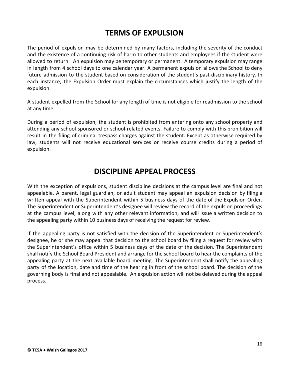## **TERMS OF EXPULSION**

The period of expulsion may be determined by many factors, including the severity of the conduct and the existence of a continuing risk of harm to other students and employees if the student were allowed to return. An expulsion may be temporary or permanent. A temporary expulsion may range in length from 4 school days to one calendar year. A permanent expulsion allows the School to deny future admission to the student based on consideration of the student's past disciplinary history. In each instance, the Expulsion Order must explain the circumstances which justify the length of the expulsion.

A student expelled from the School for any length of time is not eligible for readmission to the school at any time.

During a period of expulsion, the student is prohibited from entering onto any school property and attending any school-sponsored or school-related events. Failure to comply with this prohibition will result in the filing of criminal trespass charges against the student. Except as otherwise required by law, students will not receive educational services or receive course credits during a period of expulsion.

#### **DISCIPLINE APPEAL PROCESS**

With the exception of expulsions, student discipline decisions at the campus level are final and not appealable. A parent, legal guardian, or adult student may appeal an expulsion decision by filing a written appeal with the Superintendent within 5 business days of the date of the Expulsion Order. The Superintendent or Superintendent's designee will review the record of the expulsion proceedings at the campus level, along with any other relevant information, and will issue a written decision to the appealing party within 10 business days of receiving the request for review.

If the appealing party is not satisfied with the decision of the Superintendent or Superintendent's designee, he or she may appeal that decision to the school board by filing a request for review with the Superintendent's office within 5 business days of the date of the decision. The Superintendent shall notify the School Board President and arrange for the school board to hear the complaints of the appealing party at the next available board meeting. The Superintendent shall notify the appealing party of the location, date and time of the hearing in front of the school board. The decision of the governing body is final and not appealable. An expulsion action will not be delayed during the appeal process.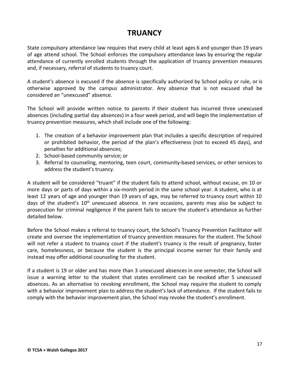# **TRUANCY**

State compulsory attendance law requires that every child at least ages 6 and younger than 19 years of age attend school. The School enforces the compulsory attendance laws by ensuring the regular attendance of currently enrolled students through the application of truancy prevention measures and, if necessary, referral of students to truancy court.

A student's absence is excused if the absence is specifically authorized by School policy or rule, or is otherwise approved by the campus administrator. Any absence that is not excused shall be considered an "unexcused" absence.

The School will provide written notice to parents if their student has incurred three unexcused absences (including partial day absences) in a four week period, and will begin the implementation of truancy prevention measures, which shall include one of the following:

- 1. The creation of a behavior improvement plan that includes a specific description of required or prohibited behavior, the period of the plan's effectiveness (not to exceed 45 days), and penalties for additional absences;
- 2. School-based community service; or
- 3. Referral to counseling, mentoring, teen court, community-based services, or other services to address the student's truancy.

A student will be considered "truant" if the student fails to attend school, without excuse, on 10 or more days or parts of days within a six-month period in the same school year. A student, who is at least 12 years of age and younger than 19 years of age, may be referred to truancy court within 10 days of the student's  $10<sup>th</sup>$  unexcused absence. In rare occasions, parents may also be subject to prosecution for criminal negligence if the parent fails to secure the student's attendance as further detailed below.

Before the School makes a referral to truancy court, the School's Truancy Prevention Facilitator will create and oversee the implementation of truancy prevention measures for the student. The School will not refer a student to truancy court if the student's truancy is the result of pregnancy, foster care, homelessness, or because the student is the principal income earner for their family and instead may offer additional counseling for the student.

If a student is 19 or older and has more than 3 unexcused absences in one semester, the School will issue a warning letter to the student that states enrollment can be revoked after 5 unexcused absences. As an alternative to revoking enrollment, the School may require the student to comply with a behavior improvement plan to address the student's lack of attendance. If the student fails to comply with the behavior improvement plan, the School may revoke the student's enrollment.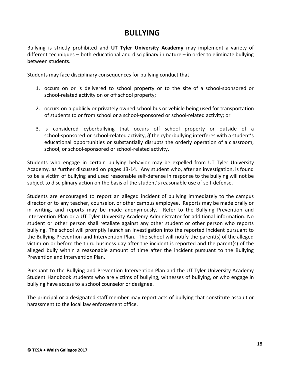## **BULLYING**

Bullying is strictly prohibited and **UT Tyler University Academy** may implement a variety of different techniques – both educational and disciplinary in nature – in order to eliminate bullying between students.

Students may face disciplinary consequences for bullying conduct that:

- 1. occurs on or is delivered to school property or to the site of a school-sponsored or school-related activity on or off school property;
- 2. occurs on a publicly or privately owned school bus or vehicle being used for transportation of students to or from school or a school-sponsored or school-related activity; or
- 3. is considered cyberbullying that occurs off school property or outside of a school-sponsored or school-related activity, *if* the cyberbullying interferes with a student's educational opportunities or substantially disrupts the orderly operation of a classroom, school, or school-sponsored or school-related activity.

Students who engage in certain bullying behavior may be expelled from UT Tyler University Academy, as further discussed on pages 13-14. Any student who, after an investigation, is found to be a victim of bullying and used reasonable self-defense in response to the bullying will not be subject to disciplinary action on the basis of the student's reasonable use of self-defense.

Students are encouraged to report an alleged incident of bullying immediately to the campus director or to any teacher, counselor, or other campus employee. Reports may be made orally or in writing, and reports may be made anonymously. Refer to the Bullying Prevention and Intervention Plan or a UT Tyler University Academy Administrator for additional information. No student or other person shall retaliate against any other student or other person who reports bullying. The school will promptly launch an investigation into the reported incident pursuant to the Bullying Prevention and Intervention Plan. The school will notify the parent(s) of the alleged victim on or before the third business day after the incident is reported and the parent(s) of the alleged bully within a reasonable amount of time after the incident pursuant to the Bullying Prevention and Intervention Plan.

Pursuant to the Bullying and Prevention Intervention Plan and the UT Tyler University Academy Student Handbook students who are victims of bullying, witnesses of bullying, or who engage in bullying have access to a school counselor or designee.

The principal or a designated staff member may report acts of bullying that constitute assault or harassment to the local law enforcement office.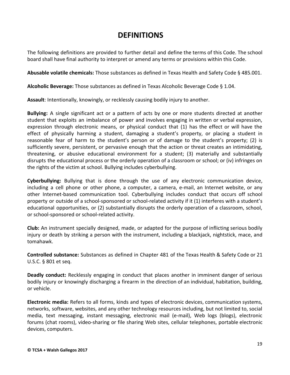#### **DEFINITIONS**

The following definitions are provided to further detail and define the terms of this Code. The school board shall have final authority to interpret or amend any terms or provisions within this Code.

**Abusable volatile chemicals:** Those substances as defined in Texas Health and Safety Code § 485.001.

**Alcoholic Beverage:** Those substances as defined in Texas Alcoholic Beverage Code § 1.04.

**Assault**: Intentionally, knowingly, or recklessly causing bodily injury to another.

**Bullying:** A single significant act or a pattern of acts by one or more students directed at another student that exploits an imbalance of power and involves engaging in written or verbal expression, expression through electronic means, or physical conduct that (1) has the effect or will have the effect of physically harming a student, damaging a student's property, or placing a student in reasonable fear of harm to the student's person or of damage to the student's property; (2) is sufficiently severe, persistent, or pervasive enough that the action or threat creates an intimidating, threatening, or abusive educational environment for a student; (3) materially and substantially disrupts the educational process or the orderly operation of a classroom or school; or (iv) infringes on the rights of the victim at school. Bullying includes cyberbullying.

**Cyberbullying:** Bullying that is done through the use of any electronic communication device, including a cell phone or other phone, a computer, a camera, e-mail, an Internet website, or any other Internet-based communication tool. Cyberbullying includes conduct that occurs off school property or outside of a school-sponsored or school-related activity if it (1) interferes with a student's educational opportunities, or (2) substantially disrupts the orderly operation of a classroom, school, or school-sponsored or school-related activity.

**Club:** An instrument specially designed, made, or adapted for the purpose of inflicting serious bodily injury or death by striking a person with the instrument, including a blackjack, nightstick, mace, and tomahawk.

**Controlled substance:** Substances as defined in Chapter 481 of the Texas Health & Safety Code or 21 U.S.C. § 801 et seq.

**Deadly conduct:** Recklessly engaging in conduct that places another in imminent danger of serious bodily injury or knowingly discharging a firearm in the direction of an individual, habitation, building, or vehicle.

**Electronic media:** Refers to all forms, kinds and types of electronic devices, communication systems, networks, software, websites, and any other technology resources including, but not limited to, social media, text messaging, instant messaging, electronic mail (e-mail), Web logs (blogs), electronic forums (chat rooms), video-sharing or file sharing Web sites, cellular telephones, portable electronic devices, computers.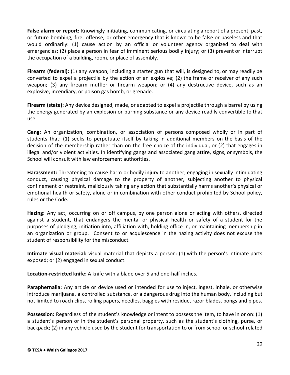**False alarm or report:** Knowingly initiating, communicating, or circulating a report of a present, past, or future bombing, fire, offense, or other emergency that is known to be false or baseless and that would ordinarily: (1) cause action by an official or volunteer agency organized to deal with emergencies; (2) place a person in fear of imminent serious bodily injury; or (3) prevent or interrupt the occupation of a building, room, or place of assembly.

**Firearm (federal):** (1) any weapon, including a starter gun that will, is designed to, or may readily be converted to expel a projectile by the action of an explosive; (2) the frame or receiver of any such weapon; (3) any firearm muffler or firearm weapon; or (4) any destructive device, such as an explosive, incendiary, or poison gas bomb, or grenade.

**Firearm (state):** Any device designed, made, or adapted to expel a projectile through a barrel by using the energy generated by an explosion or burning substance or any device readily convertible to that use.

**Gang:** An organization, combination, or association of persons composed wholly or in part of students that: (1) seeks to perpetuate itself by taking in additional members on the basis of the decision of the membership rather than on the free choice of the individual, or (2) that engages in illegal and/or violent activities. In identifying gangs and associated gang attire, signs, or symbols, the School will consult with law enforcement authorities.

**Harassment:** Threatening to cause harm or bodily injury to another, engaging in sexually intimidating conduct, causing physical damage to the property of another, subjecting another to physical confinement or restraint, maliciously taking any action that substantially harms another's physical or emotional health or safety, alone or in combination with other conduct prohibited by School policy, rules or the Code.

**Hazing:** Any act, occurring on or off campus, by one person alone or acting with others, directed against a student, that endangers the mental or physical health or safety of a student for the purposes of pledging, initiation into, affiliation with, holding office in, or maintaining membership in an organization or group. Consent to or acquiescence in the hazing activity does not excuse the student of responsibility for the misconduct.

**Intimate visual material:** visual material that depicts a person: (1) with the person's intimate parts exposed; or (2) engaged in sexual conduct.

**Location-restricted knife:** A knife with a blade over 5 and one-half inches.

**Paraphernalia:** Any article or device used or intended for use to inject, ingest, inhale, or otherwise introduce marijuana, a controlled substance, or a dangerous drug into the human body, including but not limited to roach clips, rolling papers, needles, baggies with residue, razor blades, bongs and pipes.

**Possession:** Regardless of the student's knowledge or intent to possess the item, to have in or on: (1) a student's person or in the student's personal property, such as the student's clothing, purse, or backpack; (2) in any vehicle used by the student for transportation to or from school or school-related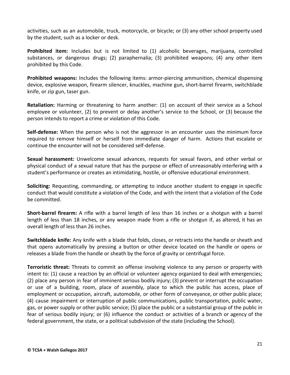activities, such as an automobile, truck, motorcycle, or bicycle; or (3) any other school property used by the student, such as a locker or desk.

**Prohibited item:** Includes but is not limited to (1) alcoholic beverages, marijuana, controlled substances, or dangerous drugs; (2) paraphernalia; (3) prohibited weapons; (4) any other item prohibited by this Code.

**Prohibited weapons:** Includes the following items: armor-piercing ammunition, chemical dispensing device, explosive weapon, firearm silencer, knuckles, machine gun, short-barrel firearm, switchblade knife, or zip gun, taser gun.

**Retaliation:** Harming or threatening to harm another: (1) on account of their service as a School employee or volunteer, (2) to prevent or delay another's service to the School, or (3) because the person intends to report a crime or violation of this Code.

**Self-defense:** When the person who is not the aggressor in an encounter uses the minimum force required to remove himself or herself from immediate danger of harm. Actions that escalate or continue the encounter will not be considered self-defense.

**Sexual harassment:** Unwelcome sexual advances, requests for sexual favors, and other verbal or physical conduct of a sexual nature that has the purpose or effect of unreasonably interfering with a student's performance or creates an intimidating, hostile, or offensive educational environment.

**Soliciting:** Requesting, commanding, or attempting to induce another student to engage in specific conduct that would constitute a violation of the Code, and with the intent that a violation of the Code be committed.

**Short-barrel firearm:** A rifle with a barrel length of less than 16 inches or a shotgun with a barrel length of less than 18 inches, or any weapon made from a rifle or shotgun if, as altered, it has an overall length of less than 26 inches.

**Switchblade knife:** Any knife with a blade that folds, closes, or retracts into the handle or sheath and that opens automatically by pressing a button or other device located on the handle or opens or releases a blade from the handle or sheath by the force of gravity or centrifugal force.

**Terroristic threat:** Threats to commit an offense involving violence to any person or property with intent to: (1) cause a reaction by an official or volunteer agency organized to deal with emergencies; (2) place any person in fear of imminent serious bodily injury; (3) prevent or interrupt the occupation or use of a building, room, place of assembly, place to which the public has access, place of employment or occupation, aircraft, automobile, or other form of conveyance, or other public place; (4) cause impairment or interruption of public communications, public transportation, public water, gas, or power supply or other public service; (5) place the public or a substantial group of the public in fear of serious bodily injury; or (6) influence the conduct or activities of a branch or agency of the federal government, the state, or a political subdivision of the state (including the School).